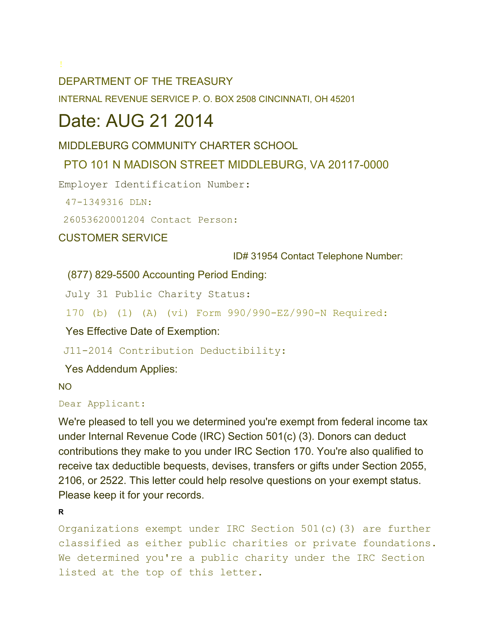### DEPARTMENT OF THE TREASURY

INTERNAL REVENUE SERVICE P. O. BOX 2508 CINCINNATI, OH 45201

## Date: AUG 21 2014

### MIDDLEBURG COMMUNITY CHARTER SCHOOL

### PTO 101 N MADISON STREET MIDDLEBURG, VA 20117-0000

Employer Identification Number:

47-1349316 DLN:

26053620001204 Contact Person:

CUSTOMER SERVICE

ID# 31954 Contact Telephone Number:

(877) 829-5500 Accounting Period Ending:

July 31 Public Charity Status:

170 (b) (1) (A) (vi) Form 990/990-EZ/990-N Required:

Yes Effective Date of Exemption:

J11-2014 Contribution Deductibility:

Yes Addendum Applies:

NO

#### Dear Applicant:

We're pleased to tell you we determined you're exempt from federal income tax under Internal Revenue Code (IRC) Section 501(c) (3). Donors can deduct contributions they make to you under IRC Section 170. You're also qualified to receive tax deductible bequests, devises, transfers or gifts under Section 2055, 2106, or 2522. This letter could help resolve questions on your exempt status. Please keep it for your records.

**R**

Organizations exempt under IRC Section 501(c)(3) are further classified as either public charities or private foundations. We determined you're a public charity under the IRC Section listed at the top of this letter.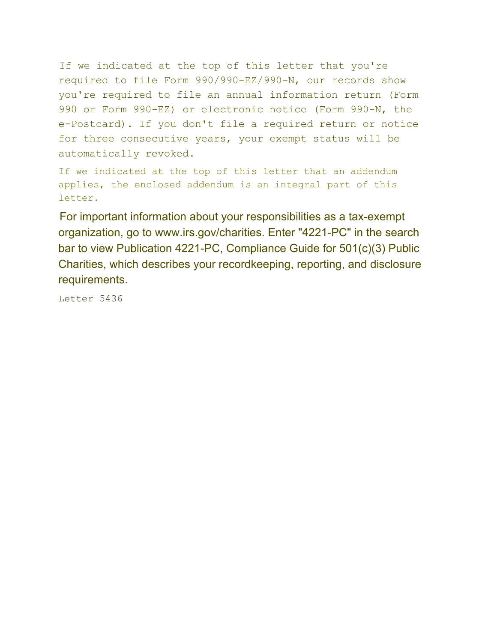If we indicated at the top of this letter that you're required to file Form 990/990-EZ/990-N, our records show you're required to file an annual information return (Form 990 or Form 990-EZ) or electronic notice (Form 990-N, the e-Postcard). If you don't file a required return or notice for three consecutive years, your exempt status will be automatically revoked.

If we indicated at the top of this letter that an addendum applies, the enclosed addendum is an integral part of this letter.

For important information about your responsibilities as a tax-exempt organization, go to www.irs.gov/charities. Enter "4221-PC" in the search bar to view Publication 4221-PC, Compliance Guide for 501(c)(3) Public Charities, which describes your recordkeeping, reporting, and disclosure requirements.

Letter 5436